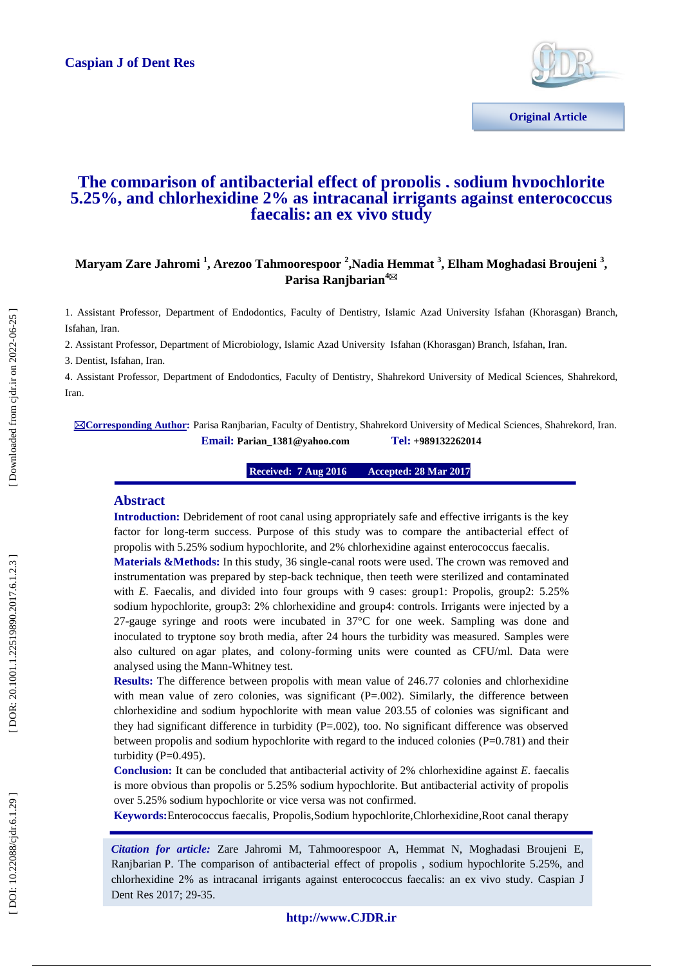

# **The comparison of antibacterial effect of propolis , sodium hypochlorite 5.25%, and chlorhexidine 2% as intracanal irrigants against enterococcus faecalis : an ex vivo study**

# Maryam Zare Jahromi <sup>1</sup>, Arezoo Tahmoorespoor <sup>2</sup>,Nadia Hemmat <sup>3</sup>, Elham Moghadasi Broujeni <sup>3</sup>, **Parisa Ranjbarian 4**

1. Assistant Professor, Department of Endodontics, Faculty of Dentistry , Islamic Azad University Isfahan (Khorasgan) Branch, Isfahan, Iran.

2. Assistant Professor, Department of Microbiology, Islamic Azad University Isfahan (Khorasgan) Branch, Isfahan, Iran.

3. Dentist, Isfahan, Iran.

4. Assistant Professor, Department of Endodontics, Faculty of Dentistry, Shahrekord University of Medical Sciences, Shahrekord, Iran.

**Corresponding Author :** Parisa Ranjbarian, Faculty of Dentistry, Shahrekord University of Medical Sciences, Shahrekord, Iran. **Email: Parian\_1381@yahoo.com +989132262014**

> **16 Received: 7 Aug 2016 8 Mar 2017 2017**

### **Abstract**

**Introduction:** Debridement of root canal using appropriately safe and effective irrigants is the key factor for long-term success. Purpose of this study was to compare the antibacterial effect of propolis with 5.25% sodium hypochlorite, and 2% chlorhexidine against enterococcus faecalis *.*

Materials &Methods: In this study, 36 single-canal roots were used. The crown was removed and instrumentation was prepared by step -back technique, then teeth were sterilized and contaminated with *E.* Faecalis, and divided into four groups with 9 cases: group1: Propolis, group2: 5.25% sodium hypochlorite, group3: 2% chlorhexidine and group4: controls. Irrigants were injected by a 27 -gauge syringe and roots were incubated in 37°C for one week. Sampling was done and inoculated to tryptone soy broth media, after 24 hours the turbidity was measured. Samples were also cultured on agar plates, and colony -forming units were counted as CFU/ml. Data were analysed using the Mann -Whitney test.

**Results:** The difference between propolis with mean value of 246.77 colonies and chlorhexidine with mean value of zero colonies, was significant  $(P=.002)$ . Similarly, the difference between chlorhexidine and sodium hypochlorite with mean value 203.55 of colonies was significant and they had significant difference in turbidity (P=.002), too. No significant difference was observed between propolis and sodium hypochlorite with regard to the induced colonies (P=0.781) and their turbidity ( $P=0.495$ ).

**Conclusion:** It can be concluded that antibacterial activity of 2% chlorhexidine against *E.* faecalis is more obvious than propolis or 5.25% sodium hypochlorite. But antibacterial activity of propolis over 5.25% sodium hypochlorite or vice versa was not confirmed.

**Keywords:**Enterococcus faecalis *,* Propolis,Sodium hypochlorite,Chlorhexidine ,Root canal therapy

*Citation for article:* Zare Jahromi M, Tahmoorespoor A, Hemmat N, Moghadasi Broujeni E, Ranjbarian P. The comparison of antibacterial effect of propolis , sodium hypochlorite 5.25%, and chlorhexidine 2% as intracanal irrigants against enterococcus faecalis: an ex vivo study . Caspian J Dent Res 2017; 29 -35.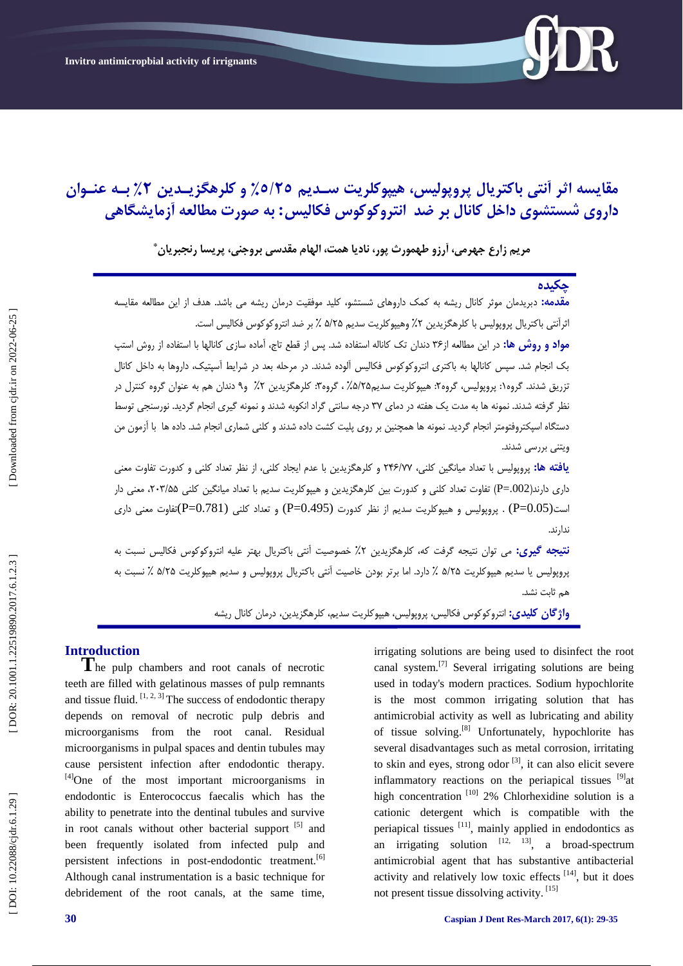

# مقایسه اثر انتی باکتریال پروپولیس، هیپوکلریت سـدیم ٥/٢٥٪ و کلرهکزیـدین ۲٪ بـه عنـوان داروی شستشوی داخل کانال بر ضد انتروکوکوس فکالیس: به صورت مطالعه اَزمایشگاهی

**هرین زارع جْرهی، آرزٍ طْوَرث پَر، ًادیا ّوت، الْام هقیسی برٍجٌی، پریسا رًجبریاى \***

# **چکییُ**

**مقدمه:** دبریدمان موثر کانال ریشه به کمک داروهای شستشو، کلید موفقیت درمان ریشه می باشد. هدف از این مطالعه مقایسه ثراتتی باکتریال پروپولیس با کلرهگزیدین ۲٪ وهیپوکلریت سدیم ۵/۲۵ ٪ بر ضد انتروکوکوس فکالیس است.

<mark>مواد و روش ها:</mark> در این مطالعه از۳۶ دندان تک کاناله استفاده شد. پس از قطع تاج، آماده سازی کانالها با استفاده از روش استپ بک انجام شد. سپس کانالها بِه باکتری انتروکوکوس فکالیس آلوده شدند. در مرحله بعد در شرایط آسپتیک، داروها بِه داخل کانال نزریق شدند. گروه۱: پروپولیس، گروه۲: هیپوکلریت سدیم۲۵٪، گروه۳: کلرهگزیدین ۲٪ و۹ دندان هم به عنوان گروه کنترل در : : نظر گرفته شدند. نمونه ها به مدت یک هفته در دمای ۳۷ درجِه سانتی گراد انکوبه شدند و نمونه گیری انجام گردید. نورسنجی توسط دستگاه اسپکتروفتومتر انجام گردید. نمونه ها همچنین بر روی پلیت کشت داده شدند و کلنی شماری انجام شد. داده ها با آزمون من ویتنی بررسی شدند.

**یافته ها:** پروپولیس با تعداد میانگین کلنی، ۲۴۶/۷۷ و کلرهگزیدین با عدم ایجاد کلنی، از نظر تعداد کلنی و کدورت تفاوت معنی داری دارند(P=.002) تفاوت تعداد کلنی و کدورت بین کلرهگزیدین و هیپوکلریت سدیم با تعداد میانگین کلنی ۲۰۳/۵۵، معنی دار است(1.05 $=$ P) . پروپولیس و هیپوکلریت سدیم از نظر کدورت (9.495 $=$ P) و تعداد کلنی  $($ P $=$ 0.781 $)$ تفاوت معنی داری ندار ند.

**نتیجِه گیری:** می توان نتیجه گرفت که، کلرهگزیدین ۲٪ خصوصیت انتی باکتریال بهتر علیه انتروکوکوس فکالیس نسبت به پروپولیس یا سدیم هیپوکلریت ۵/۲۵ ٪ دارد. اما برتر بودن خاصیت انتی باکتریال پروپولیس و سدیم هیپوکلریت ۵/۲۵ ٪ نسبت به هم ثابت نشد.

**واژگان کلیدی:** انتروکوکوس فکالیس، پروپولیس، هیپوکلریت سدیم، کلرهگزیدین، درمان کانال ریشه

**Introduction**<br> **T**he pulp chambers and root canals of necrotic teeth are filled with gelatinous masses of pulp remnants and tissue fluid.  $[1, 2, 3]$  The success of endodontic therapy depends on removal of necrotic pulp debris and microorganisms from the root canal. Residual microorganisms in pulpal spaces and dentin tubules may cause persistent infection after endodontic therapy. [4]One of the most important microorganisms in endodontic is Enterococcus faecalis which has the ability to penetrate into the dentinal tubules and survive in root canals without other bacterial support [5] and been frequently isolated from infected pulp and persistent infections in post-endodontic treatment.<sup>[6]</sup> Although canal instrumentation is a basic technique for debridement of the root canals, at the same time,

irrigating solutions are being used to disinfect the root canal system.[7] Several irrigating solutions are being used in today's modern practices. Sodium hypochlorite is the most common irrigating solution that has antimicrobial activity as well as lubricating and ability of tissue solving.<sup>[8]</sup> Unfortunately, hypochlorite has several disadvantages such as metal corrosion, irritating to skin and eyes, strong odor  $\left[3\right]$ , it can also elicit severe inflammatory reactions on the periapical tissues  $[9]$ at high concentration  $[10]$  2% Chlorhexidine solution is a cationic detergent which is compatible with the periapical tissues [11], mainly applied in endodontics as an irrigating solution  $[12, 13]$ , a broad-spectrum antimicrobial agent that has substantive antibacterial activity and relatively low toxic effects [14], but it does not present tissue dissolving activity. [15]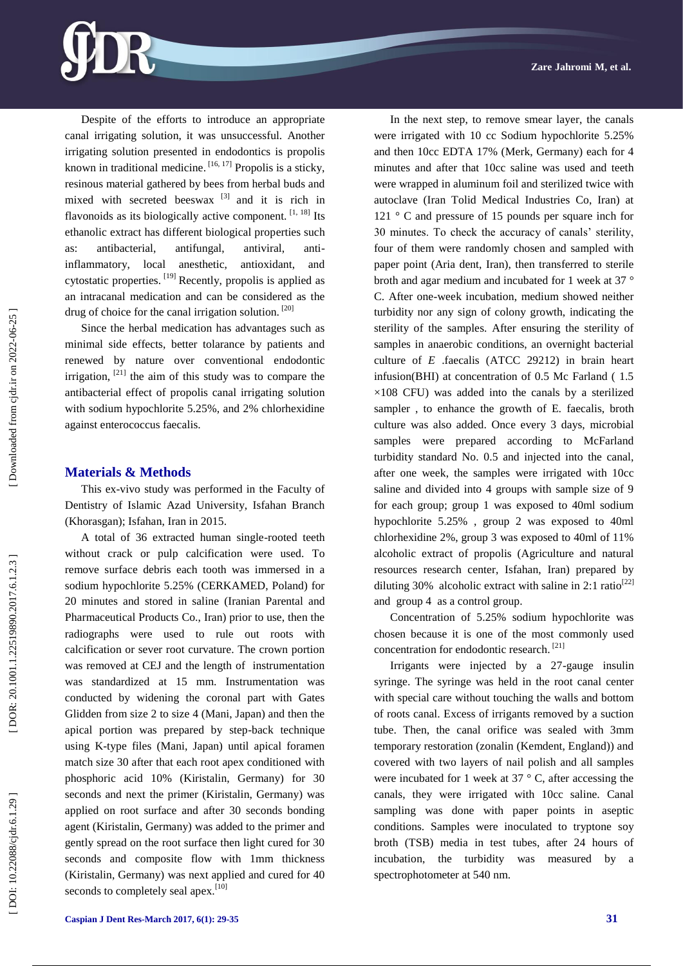Despite of the efforts to introduce an appropriate canal irrigating solution, it was unsuccessful. Another irrigating solution presented in endodontics is propolis known in traditional medicine.  $[16, 17]$  Propolis is a sticky, resinous material gathered by bees from herbal buds and mixed with secreted beeswax  $[3]$  and it is rich in flavonoids as its biologically active component.  $^{[1, 18]}$  Its ethanolic extract has different biological properties such as: antibacterial, antifungal, antiviral, anti antiinflammatory, local anesthetic, antioxidant, and cytostatic properties. [19] Recently, propolis is applied as an intracanal medication and can be considered as the drug of choice for the canal irrigation solution. [20]

Since the herbal medication has advantages such as minimal side effects, better tolarance by patients and renewed by nature over conventional endodontic irrigation, [21] the aim of this study was to compare the antibacterial effect of propolis canal irrigating solution with sodium hypochlorite 5.25%, and 2% chlorhexidine against enterococcus faecalis.

### **Materials & Methods**

This ex -vivo study was performed in the Faculty of Dentistry of Islamic Azad University, Isfahan Branch (Khorasgan); Isfahan, Iran in 2015.

A total of 36 extracted human single -rooted teeth without crack or pulp calcification were used. To remove surface debris each tooth was immersed in a sodium hypochlorite 5.25% (CERKAMED, Poland) for 20 minutes and stored in saline (Iranian Parental and Pharmaceutical Products Co., Iran) prior to use, then the radiographs were used to rule out roots with calcification or sever root curvature. The crown portion was removed at CEJ and the length of instrumentation was standardized at 15 mm. Instrumentation was conducted by widening the coronal part with Gates Glidden from size 2 to size 4 (Mani, Japan) and then the apical portion was prepared by step -back technique using K -type files (Mani, Japan) until apical foramen match size 30 after that each root apex conditioned with phosphoric acid 10% (Kiristalin, Germany) for 30 seconds and next the primer (Kiristalin, Germany) was applied on root surface and after 30 seconds bonding agent (Kiristalin, Germany) was added to the primer and gently spread on the root surface then light cured for 30 seconds and composite flow with 1mm thickness (Kiristalin, Germany) was next applied and cured for 40 seconds to completely seal apex.<sup>[10]</sup>

were irrigated with 10 cc Sodium hypochlorite 5.25% and then 10cc EDTA 17% (Merk, Germany) each for 4 minutes and after that 10cc saline was used and teeth were wrapped in aluminum foil and sterilized twice with autoclave (Iran Tolid Medical Industries Co, Iran) at 121 ° C and pressure of 15 pounds per square inch for 30 minutes. To check the accuracy of canals' sterility, four of them were randomly chosen and sampled with paper point (Aria dent, Iran), then transferred to sterile broth and agar medium and incubated for 1 week at 37 ° C. After one -week incubation, medium showed neither turbidity nor any sign of colony growth, indicating the sterility of the samples. After ensuring the sterility of samples in anaerobic conditions, an overnight bacterial culture of *E*  .faecalis (ATCC 29212) in brain heart infusion(BHI) at concentration of 0.5 Mc Farland ( 1.5  $\times$ 108 CFU) was added into the canals by a sterilized sampler , to enhance the growth of E*.* faecalis, broth culture was also added. Once every 3 days, microbial samples were prepared according to McFarland turbidity standard No. 0.5 and injected into the canal, after one week, the samples were irrigated with 10cc saline and divided into 4 groups with sample size of 9 for each group; group 1 was exposed to 40ml sodium hypochlorite 5.25% , group 2 was exposed to 40ml chlorhexidine 2%, group 3 was exposed to 40ml of 11% alcoholic extract of propolis (Agriculture and natural resources research center, Isfahan, Iran) prepared by diluting 30% alcoholic extract with saline in 2:1 ratio<sup>[22]</sup> and group 4 as a control group.

In the next step, to remove smear layer, the canals

Concentration of 5.25% sodium hypochlorite was chosen because it is one of the most commonly used concentration for endodontic research.<sup>[21]</sup>

Irrigants were injected by a 27 -gauge insulin syringe. The syringe was held in the root canal center with special care without touching the walls and bottom of roots canal. Excess of irrigants removed by a suction tube. Then, the canal orifice was sealed with 3mm temporary restoration (zonalin (Kemdent, England)) and covered with two layers of nail polish and all samples were incubated for 1 week at 37 ° C, after accessing the canals, they were irrigated with 10cc saline. Canal sampling was done with paper points in aseptic conditions. Samples were inoculated to tryptone soy broth (TSB) media in test tubes, after 24 hours of incubation, the turbidity was measured by spectrophotometer at 540 nm.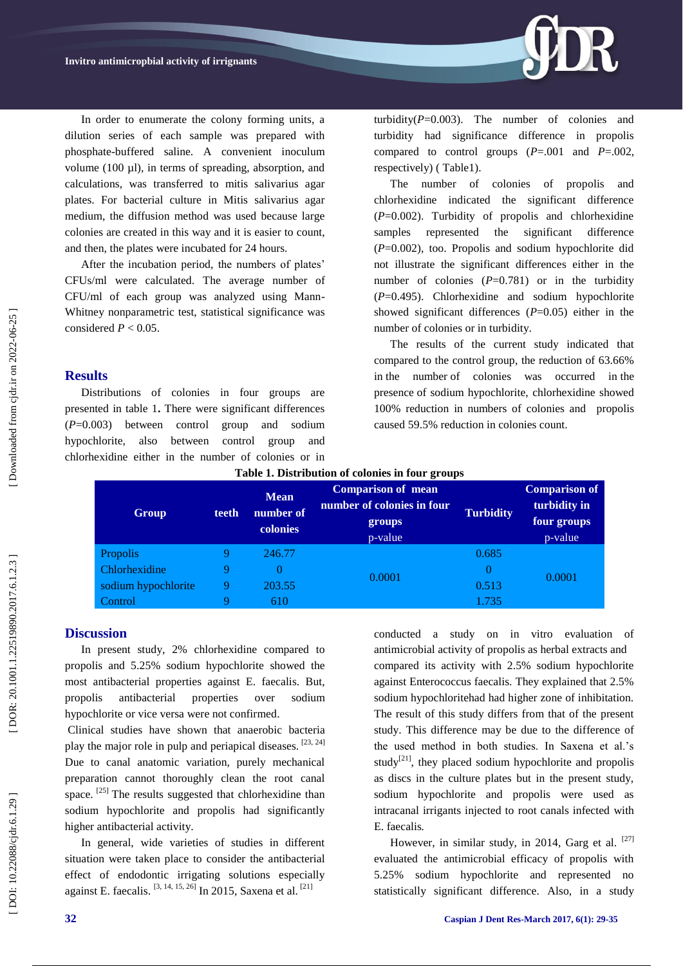

After the incubation period, the numbers of plates' CFUs/ml were calculated. The average number of CFU/ml of each group was analyzed using Mann - Whitney nonparametric test, statistical significance was considered  $P < 0.05$ .

### **Results**

Distributions of colonies in four groups are presented in table 1**.** There were significant differences (*P*=0.003) between control group and sodium hypochlorite, also between control group and chlorhexidine either in the number of colonies or in

turbidity( $P=0.003$ ). The number of colonies and turbidity had significance difference in propolis compared to control groups ( *P*=.001 and *P*=.002, respectively) ( Table1).

The number of colonies of propolis and chlorhexidine indicated the significant difference (*P*=0.002). Turbidity of propolis and chlorhexidine samples represented the significant difference (*P*=0.002), too. Propolis and sodium hypochlorite did not illustrate the significant differences either in the number of colonies  $(P=0.781)$  or in the turbidity ( *P*=0.495). Chlorhexidine and sodium hypochlorite showed significant differences  $(P=0.05)$  either in the number of colonies or in turbidity.

The results of the current study indicated that compared to the control group, the reduction of 63.66% in the number of colonies was occurred in the presence of sodium hypochlorite, chlorhexidine showed 100% reduction in numbers of colonies and propolis caused 59.5% reduction in colonies count.

| Group               | teeth | <b>Mean</b><br>number of<br>colonies | <b>Comparison of mean</b><br>number of colonies in four<br>groups<br>p-value | <b>Turbidity</b> | <b>Comparison of</b><br>turbidity in<br>four groups<br>p-value |
|---------------------|-------|--------------------------------------|------------------------------------------------------------------------------|------------------|----------------------------------------------------------------|
| Propolis            |       | 246.77                               | 0.0001                                                                       | 0.685            | 0.0001                                                         |
| Chlorhexidine       |       |                                      |                                                                              | 0                |                                                                |
| sodium hypochlorite |       | 203.55                               |                                                                              | 0.513            |                                                                |
| Control             |       | 610                                  |                                                                              | 1.735            |                                                                |

# **Discussion**

In present study, 2% chlorhexidine compared to propolis and 5.25% sodium hypochlorite showed the most antibacterial properties against E. faecalis. But, propolis antibacterial properties over sodium hypochlorite or vice versa were not confirmed .

Clinical studies have shown that anaerobic bacteria play the major role in pulp and periapical diseases. [23, 24] Due to canal anatomic variation, purely mechanical preparation cannot thoroughly clean the root canal space. <sup>[25]</sup> The results suggested that chlorhexidine than sodium hypochlorite and propolis had significantly higher antibacterial activity.

In general, wide varieties of studies in different situation were taken place to consider the antibacterial effect of endodontic irrigating solutions especially against E. faecalis. [3, 14, 15, 26] In 2015, Saxena et al. [21]

conducted a study on in vitro evaluation of antimicrobial activity of propolis as herbal extracts and compared its activity with 2.5% sodium hypochlorite against Enterococcus faecalis. They explained that 2.5% sodium hypochloritehad had higher zone of inhibitation. The result of this study differs from that of the present study. This difference may be due to the difference of the used method in both studies. In Saxena et al.'s study<sup>[21]</sup>, they placed sodium hypochlorite and propolis as discs in the culture plates but in the present study, sodium hypochlorite and propolis were used as intracanal irrigants injected to root canals infected with E. faecalis *.*

However, in similar study, in 2014, Garg et al. [27] evaluated the antimicrobial efficacy of propolis with 5.25% sodium hypochlorite and represented no statistically significant difference. Also, in a study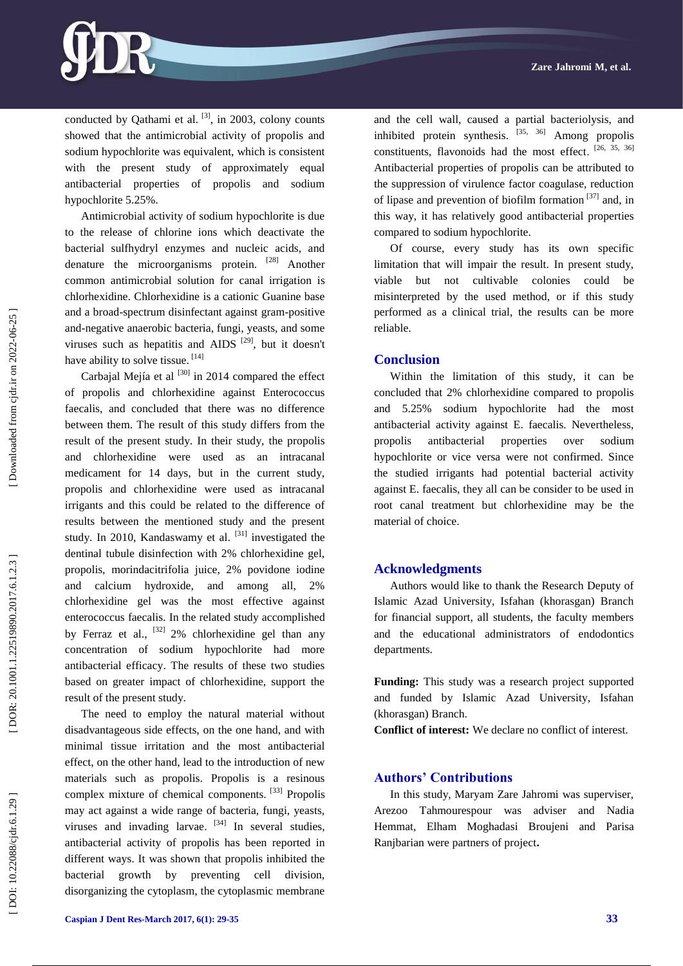conducted by Oathami et al.  $[3]$ , in 2003, colony counts showed that the antimicrobial activity of propolis and sodium hypochlorite was equivalent, which is consistent with the present study of approximately equal antibacterial properties of propolis and sodium hypochlorite 5.25%.

Antimicrobial activity of sodium hypochlorite is due to the release of chlorine ions which deactivate the bacterial sulfhydryl enzymes and nucleic acids, and denature the microorganisms protein. [28] Another common antimicrobial solution for canal irrigation is chlorhexidine. Chlorhexidine is a cationic Guanine base and a broad -spectrum disinfectant against gram -positive and -negative anaerobic bacteria, fungi, yeasts, and some viruses such as hepatitis and AIDS  $[29]$ , but it doesn't have ability to solve tissue. [14]

Carbaial Meiía et al  $^{[30]}$  in 2014 compared the effect of propolis and chlorhexidine against Enterococcus faecalis, and concluded that there was no difference between them. The result of this study differs from the result of the present study. In their study, the propolis and chlorhexidine were used as an intracanal medicament for 14 days, but in the current study, propolis and chlorhexidine were used as intracanal irrigants and this could be related to the difference of results between the mentioned study and the present study. In 2010, Kandaswamy et al.  $[31]$  investigated the dentinal tubule disinfection with 2% chlorhexidine gel, propolis, morindacitrifolia juice, 2% povidone iodine and calcium hydroxide, and among all, 2% chlorhexidine gel was the most effective against enterococcus faecalis. In the related study accomplished by Ferraz et al.,  $^{[32]}$  2% chlorhexidine gel than any concentration of sodium hypochlorite had more antibacterial efficacy. The results of these two studies based on greater impact of chlorhexidine, support the result of the present study.

The need to employ the natural material without disadvantageous side effects, on the one hand, and with minimal tissue irritation and the most antibacterial effect, on the other hand, lead to the introduction of new materials such as propolis. Propolis is a resinous complex mixture of chemical components. [33] Propolis may act against a wide range of bacteria, fungi, yeasts, viruses and invading larvae.  $[34]$  In several studies, antibacterial activity of propolis has been reported in different ways. It was shown that propolis inhibited the bacterial growth by preventing cell division, disorganizing the cytoplasm, the cytoplasmic membrane

and the cell wall, caused a partial bacteriolysis, and inhibited protein synthesis.  $[35, 36]$  Among propolis constituents, flavonoids had the most effect. [26, 35, 36] Antibacterial properties of propolis can be attributed to the suppression of virulence factor coagulase, reduction of lipase and prevention of biofilm formation [37] and, in this way, it has relatively good antibacterial properties compared to sodium hypochlorite.

Of course, every study has its own specific limitation that will impair the result. In present study, viable but not cultivable colonies could be misinterpreted by the used method, or if this study performed as a clinical trial, the results can be more reliable.

#### **Conclusion**

Within the limitation of this study, it can be concluded that 2% chlorhexidine compared to propolis and 5.25% sodium hypochlorite had the most antibacterial activity against E. faecalis. Nevertheless, propolis antibacterial properties over sodium hypochlorite or vice versa were not confirmed. Since the studied irrigants had potential bacterial activity against E. faecalis, they all can be consider to be used in root canal treatment but chlorhexidine may be the material of choice.

#### **Acknowledgments**

Authors would like to thank the Research Deputy of Islamic Azad University, Isfahan (khorasgan) Branch for financial support, all students, the faculty members and the educational administrators of endodontics departments.

**Funding:** This study was a research project supported and funded by Islamic Azad University, Isfahan (khorasgan) Branch.

**Conflict of interest:**  We declare no conflict of interest.

### **Authors' Contributions**

In this study, Maryam Zare Jahromi was superviser, Arezoo Tahmourespour was adviser and Nadia Hemmat, Elham Moghadasi Broujeni and Parisa Ranjbarian were partners of project **.**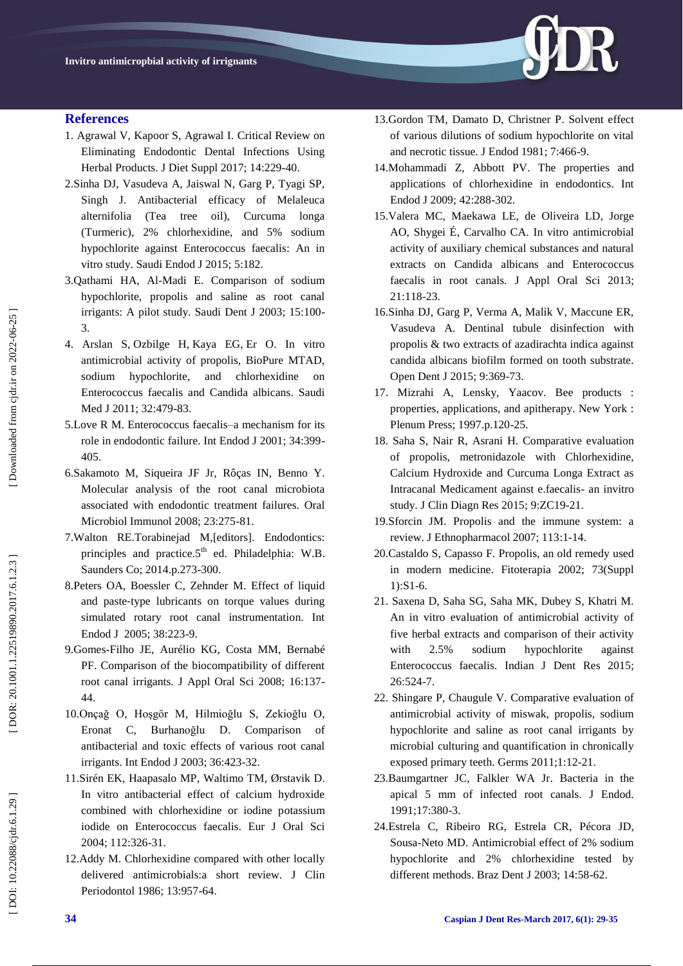

### **References**

- 1. Agrawal V, Kapoor S, Agrawal I. Critical Review on Eliminating Endodontic Dental Infections Using Herbal Products. J Diet Suppl 2017; 14:229 -40.
- 2.Sinha DJ, Vasudeva A, Jaiswal N, Garg P, Tyagi SP, Singh J. Antibacterial efficacy of Melaleuca alternifolia (Tea tree oil), Curcuma longa (Turmeric), 2% chlorhexidine, and 5% sodium hypochlorite against Enterococcus faecalis: An in vitro study. Saudi Endod J 2015; 5:182.
- 3.Qathami HA, Al -Madi E. Comparison of sodium hypochlorite, propolis and saline as root canal irrigants: A pilot study. Saudi Dent J 2003; 15:100 - 3.
- 4. [Arslan S](https://www.ncbi.nlm.nih.gov/pubmed/?term=Arslan%20S%5BAuthor%5D&cauthor=true&cauthor_uid=21556468) , [Ozbilge H](https://www.ncbi.nlm.nih.gov/pubmed/?term=Ozbilge%20H%5BAuthor%5D&cauthor=true&cauthor_uid=21556468) , [Kaya EG](https://www.ncbi.nlm.nih.gov/pubmed/?term=Kaya%20EG%5BAuthor%5D&cauthor=true&cauthor_uid=21556468) , [Er O.](https://www.ncbi.nlm.nih.gov/pubmed/?term=Er%20O%5BAuthor%5D&cauthor=true&cauthor_uid=21556468) In vitro antimicrobial activity of propolis, BioPure MTAD, sodium hypochlorite, and chlorhexidine on Enterococcus faecalis and Candida albicans. Saudi Med J 2011; 32:479-83.
- 5.Love R M. Enterococcus faecalis –a mechanism for its role in endodontic failure. Int Endod J 2001; 34:399 - 405.
- 6.Sakamoto M, Siqueira JF Jr, Rôças IN, Benno Y. Molecular analysis of the root canal microbiota associated with endodontic treatment failures. Oral Microbiol Immunol 2008; 23:275 -81.
- 7.Walton RE.Torabinejad M,[editors]. Endodontics: principles and practice. $5<sup>th</sup>$  ed. Philadelphia: W.B. Saunders Co; 2014.p.273 -300.
- 8[.Peters OA,](https://www.ncbi.nlm.nih.gov/pubmed/?term=Peters%20OA%5BAuthor%5D&cauthor=true&cauthor_uid=15810972) [Boessler C,](https://www.ncbi.nlm.nih.gov/pubmed/?term=Boessler%20C%5BAuthor%5D&cauthor=true&cauthor_uid=15810972) [Zehnder M](https://www.ncbi.nlm.nih.gov/pubmed/?term=Zehnder%20M%5BAuthor%5D&cauthor=true&cauthor_uid=15810972) . Effect of liquid and paste ‐type lubricants on torque values during simulated rotary root canal instrumentation. Int Endod J 2005; 38:223 -9.
- 9.Gomes [-Filho JE,](https://www.ncbi.nlm.nih.gov/pubmed/?term=Gomes-Filho%20JE%5BAuthor%5D&cauthor=true&cauthor_uid=19089206) [Aurélio KG,](https://www.ncbi.nlm.nih.gov/pubmed/?term=Aur%C3%A9lio%20KG%5BAuthor%5D&cauthor=true&cauthor_uid=19089206) [Costa MM,](https://www.ncbi.nlm.nih.gov/pubmed/?term=Costa%20MM%5BAuthor%5D&cauthor=true&cauthor_uid=19089206) [Bernabé](https://www.ncbi.nlm.nih.gov/pubmed/?term=Bernab%C3%A9%20PF%5BAuthor%5D&cauthor=true&cauthor_uid=19089206)  [PF.](https://www.ncbi.nlm.nih.gov/pubmed/?term=Bernab%C3%A9%20PF%5BAuthor%5D&cauthor=true&cauthor_uid=19089206) Comparison of the biocompatibility of different root canal irrigants. J Appl Oral Sci 2008; 16:137 - 44.
- 10[.Onçağ O,](https://www.ncbi.nlm.nih.gov/pubmed/?term=On%C3%A7a%C4%9F%20O%5BAuthor%5D&cauthor=true&cauthor_uid=12801290) [Hoşgör M,](https://www.ncbi.nlm.nih.gov/pubmed/?term=Ho%C5%9Fg%C3%B6r%20M%5BAuthor%5D&cauthor=true&cauthor_uid=12801290) [Hilmioğlu S,](https://www.ncbi.nlm.nih.gov/pubmed/?term=Hilmio%C4%9Flu%20S%5BAuthor%5D&cauthor=true&cauthor_uid=12801290) [Zekioğlu O,](https://www.ncbi.nlm.nih.gov/pubmed/?term=Zekio%C4%9Flu%20O%5BAuthor%5D&cauthor=true&cauthor_uid=12801290) [Eronat C,](https://www.ncbi.nlm.nih.gov/pubmed/?term=Eronat%20C%5BAuthor%5D&cauthor=true&cauthor_uid=12801290) [Burhanoğlu D.](https://www.ncbi.nlm.nih.gov/pubmed/?term=Burhano%C4%9Flu%20D%5BAuthor%5D&cauthor=true&cauthor_uid=12801290) Comparison of antibacterial and toxic effects of various root canal irrigants. Int Endod J 2003; 36:423 -32.
- 11[.Sirén EK,](https://www.ncbi.nlm.nih.gov/pubmed/?term=Sir%C3%A9n%20EK%5BAuthor%5D&cauthor=true&cauthor_uid=15279651) [Haapasalo MP,](https://www.ncbi.nlm.nih.gov/pubmed/?term=Haapasalo%20MP%5BAuthor%5D&cauthor=true&cauthor_uid=15279651) [Waltimo TM,](https://www.ncbi.nlm.nih.gov/pubmed/?term=Waltimo%20TM%5BAuthor%5D&cauthor=true&cauthor_uid=15279651) [Ørstavik D.](https://www.ncbi.nlm.nih.gov/pubmed/?term=%C3%98rstavik%20D%5BAuthor%5D&cauthor=true&cauthor_uid=15279651) In vitro antibacterial effect of calcium hydroxide combined with chlorhexidine or iodine potassium iodide on Enterococcus faecalis. Eur J Oral Sci 2004; 112:326 -31.
- 12[.Addy M](https://www.ncbi.nlm.nih.gov/pubmed/?term=Addy%20M%5BAuthor%5D&cauthor=true&cauthor_uid=3540026) . Chlorhexidine compared with other locally delivered antimicrobials:a short review. J Clin Periodontol 1986; 13:957 -64.
- 1[3.Gordon TM,](https://www.ncbi.nlm.nih.gov/pubmed/?term=Gordon%20TM%5BAuthor%5D&cauthor=true&cauthor_uid=6945388) [Damato D,](https://www.ncbi.nlm.nih.gov/pubmed/?term=Damato%20D%5BAuthor%5D&cauthor=true&cauthor_uid=6945388) [Christner P.](https://www.ncbi.nlm.nih.gov/pubmed/?term=Christner%20P%5BAuthor%5D&cauthor=true&cauthor_uid=6945388) Solvent effect of various dilutions of sodium hypochlorite on vital and necrotic tissue. J Endod 1981; 7:466 -9.
- 1[4.Mohammadi Z,](https://www.ncbi.nlm.nih.gov/pubmed/?term=Mohammadi%20Z%5BAuthor%5D&cauthor=true&cauthor_uid=19220510) [Abbott PV.](https://www.ncbi.nlm.nih.gov/pubmed/?term=Abbott%20PV%5BAuthor%5D&cauthor=true&cauthor_uid=19220510) The properties and applications of chlorhexidine in endodontics. Int Endod J 2009; 42:288 -302.
- 1[5.Valera MC,](https://www.ncbi.nlm.nih.gov/pubmed/?term=Valera%20MC%5BAuthor%5D&cauthor=true&cauthor_uid=23739849) [Maekawa LE,](https://www.ncbi.nlm.nih.gov/pubmed/?term=Maekawa%20LE%5BAuthor%5D&cauthor=true&cauthor_uid=23739849) [de Oliveira LD,](https://www.ncbi.nlm.nih.gov/pubmed/?term=de%20Oliveira%20LD%5BAuthor%5D&cauthor=true&cauthor_uid=23739849) [Jorge](https://www.ncbi.nlm.nih.gov/pubmed/?term=Jorge%20AO%5BAuthor%5D&cauthor=true&cauthor_uid=23739849)  [AO,](https://www.ncbi.nlm.nih.gov/pubmed/?term=Jorge%20AO%5BAuthor%5D&cauthor=true&cauthor_uid=23739849) [Shygei É,](https://www.ncbi.nlm.nih.gov/pubmed/?term=Shygei%20%C3%89%5BAuthor%5D&cauthor=true&cauthor_uid=23739849) [Carvalho CA.](https://www.ncbi.nlm.nih.gov/pubmed/?term=Carvalho%20CA%5BAuthor%5D&cauthor=true&cauthor_uid=23739849) In vitro antimicrobial activity of auxiliary chemical substances and natural extracts on Candida albicans and Enterococcus faecalis in root canals. J Appl Oral Sci 2013; 21:118 -23.
- 16.Sinha DJ, Garg P, Verma A, Malik V, Maccune ER, Vasudeva A. Dentinal tubule disinfection with propolis & two extracts of azadirachta indica against candida albicans biofilm formed on tooth substrate. Open Dent J 2015; 9:369 -73.
- 17. Mizrahi A, Lensky, Yaacov. Bee products : properties, applications, and apitherapy. New York : Plenum Press; 1997.p.120 -25.
- 18. Saha S, Nair R, Asrani H. Comparative evaluation of propolis, metronidazole with Chlorhexidine, Calcium Hydroxide and Curcuma Longa Extract as Intracanal Medicament against e.faecalis - an invitro study. J Clin Diagn Res 2015; 9:ZC19 -21.
- 19.Sforcin JM. Propolis and the immune system: a review. J Ethnopharmacol 2007; 113:1 -14.
- 2[0.Castaldo S,](https://www.ncbi.nlm.nih.gov/pubmed/?term=Castaldo%20S%5BAuthor%5D&cauthor=true&cauthor_uid=12495704) [Capasso F.](https://www.ncbi.nlm.nih.gov/pubmed/?term=Capasso%20F%5BAuthor%5D&cauthor=true&cauthor_uid=12495704) Propolis, an old remedy used in modern medicine. Fitoterapia 2002; 73(Suppl 1):S1 -6.
- 21. Saxena D, Saha SG, Saha MK, Dubey S, Khatri M. An in vitro evaluation of antimicrobial activity of five herbal extracts and comparison of their activity with 2.5% sodium hypochlorite against Enterococcus faecalis. Indian J Dent Res 2015; 26:524 -7.
- 22. Shingare P, Chaugule V. Comparative evaluation of antimicrobial activity of miswak, propolis, sodium hypochlorite and saline as root canal irrigants by microbial culturing and quantification in chronically exposed primary teeth. Germs 2011;1:12 -21.
- 2[3.Baumgartner JC,](https://www.ncbi.nlm.nih.gov/pubmed/?term=Baumgartner%20JC%5BAuthor%5D&cauthor=true&cauthor_uid=1809801) [Falkler WA Jr](https://www.ncbi.nlm.nih.gov/pubmed/?term=Falkler%20WA%20Jr%5BAuthor%5D&cauthor=true&cauthor_uid=1809801) . Bacteria in the apical 5 mm of infected root canals. J Endod. 1991;17:380 -3.
- 2[4.Estrela C,](https://www.ncbi.nlm.nih.gov/pubmed/?term=Estrela%20C%5BAuthor%5D&cauthor=true&cauthor_uid=12656467) [Ribeiro RG,](https://www.ncbi.nlm.nih.gov/pubmed/?term=Ribeiro%20RG%5BAuthor%5D&cauthor=true&cauthor_uid=12656467) [Estrela CR,](https://www.ncbi.nlm.nih.gov/pubmed/?term=Estrela%20CR%5BAuthor%5D&cauthor=true&cauthor_uid=12656467) [Pécora JD,](https://www.ncbi.nlm.nih.gov/pubmed/?term=P%C3%A9cora%20JD%5BAuthor%5D&cauthor=true&cauthor_uid=12656467)  Sousa [-Neto MD](https://www.ncbi.nlm.nih.gov/pubmed/?term=Sousa-Neto%20MD%5BAuthor%5D&cauthor=true&cauthor_uid=12656467) . Antimicrobial effect of 2% sodium hypochlorite and 2% chlorhexidine tested by different methods. Braz Dent J 2003; 14:58 -62.

DOI: 10.22088/cjdr.6.1.29